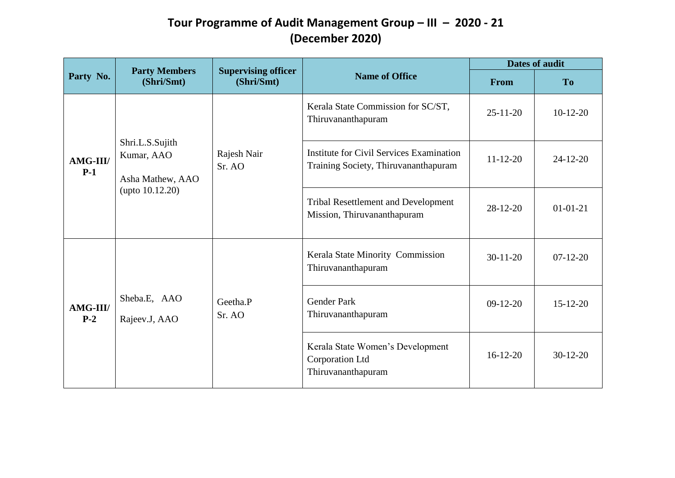| Party No.                |                                                   |                                                        |                                                                                         | <b>Dates of audit</b> |                |
|--------------------------|---------------------------------------------------|--------------------------------------------------------|-----------------------------------------------------------------------------------------|-----------------------|----------------|
|                          | <b>Party Members</b><br>(Shri/Smt)                | <b>Supervising officer</b><br>(Shri/Smt)               | <b>Name of Office</b>                                                                   | From                  | <b>To</b>      |
|                          |                                                   |                                                        | Kerala State Commission for SC/ST,<br>Thiruvananthapuram                                | $25 - 11 - 20$        | $10-12-20$     |
| <b>AMG-III/</b><br>$P-1$ | Shri.L.S.Sujith<br>Kumar, AAO<br>Asha Mathew, AAO | Rajesh Nair<br>Sr. AO                                  | <b>Institute for Civil Services Examination</b><br>Training Society, Thiruvananthapuram | $11 - 12 - 20$        | $24 - 12 - 20$ |
|                          | (upto $10.12.20$ )                                |                                                        | <b>Tribal Resettlement and Development</b><br>Mission, Thiruvananthapuram               | $28-12-20$            | $01-01-21$     |
| <b>AMG-III/</b><br>$P-2$ |                                                   | Kerala State Minority Commission<br>Thiruvananthapuram | $30 - 11 - 20$                                                                          | $07-12-20$            |                |
|                          | Sheba.E, AAO<br>Rajeev.J, AAO                     | Geetha.P<br>Sr. AO                                     | <b>Gender Park</b><br>Thiruvananthapuram                                                | $09-12-20$            | $15 - 12 - 20$ |
|                          |                                                   |                                                        | Kerala State Women's Development<br>Corporation Ltd<br>Thiruvananthapuram               | $16-12-20$            | $30-12-20$     |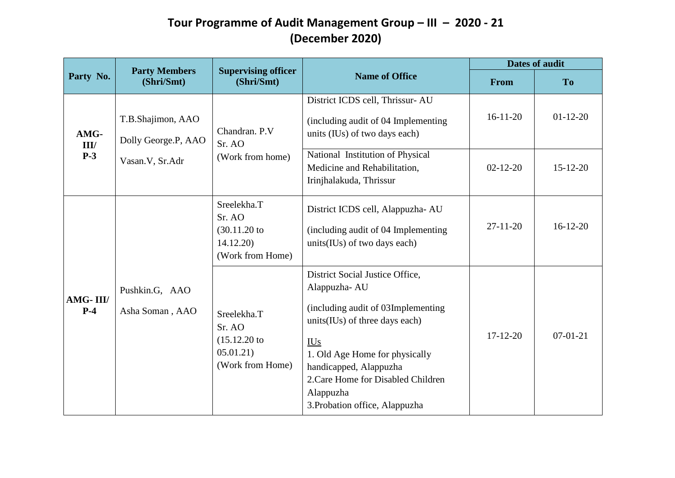|                       |                                                             | <b>Supervising officer</b>                                           |                                                                                                                                                                                                                                                                                        | <b>Dates of audit</b>            |                              |
|-----------------------|-------------------------------------------------------------|----------------------------------------------------------------------|----------------------------------------------------------------------------------------------------------------------------------------------------------------------------------------------------------------------------------------------------------------------------------------|----------------------------------|------------------------------|
| Party No.             | <b>Party Members</b><br>(Shri/Smt)                          | (Shri/Smt)                                                           | <b>Name of Office</b>                                                                                                                                                                                                                                                                  | From                             | <b>To</b>                    |
| AMG-<br>III/<br>$P-3$ | T.B.Shajimon, AAO<br>Dolly George.P, AAO<br>Vasan.V, Sr.Adr | Chandran. P.V<br>Sr. AO<br>(Work from home)                          | District ICDS cell, Thrissur-AU<br>(including audit of 04 Implementing)<br>units (IUs) of two days each)<br>National Institution of Physical<br>Medicine and Rehabilitation,<br>Irinjhalakuda, Thrissur                                                                                | $16 - 11 - 20$<br>$02 - 12 - 20$ | $01-12-20$<br>$15 - 12 - 20$ |
|                       |                                                             | Sreelekha.T<br>Sr. AO<br>(30.11.20)<br>14.12.20)<br>(Work from Home) | District ICDS cell, Alappuzha-AU<br>(including audit of 04 Implementing<br>units(IUs) of two days each)                                                                                                                                                                                | $27 - 11 - 20$                   | $16-12-20$                   |
| AMG-III/<br>$P-4$     | Pushkin.G, AAO<br>Asha Soman, AAO                           | Sreelekha.T<br>Sr. AO<br>(15.12.20)<br>05.01.21)<br>(Work from Home) | District Social Justice Office,<br>Alappuzha-AU<br>(including audit of 03Implementing<br>units(IUs) of three days each)<br><b>IUs</b><br>1. Old Age Home for physically<br>handicapped, Alappuzha<br>2. Care Home for Disabled Children<br>Alappuzha<br>3. Probation office, Alappuzha | $17 - 12 - 20$                   | $07-01-21$                   |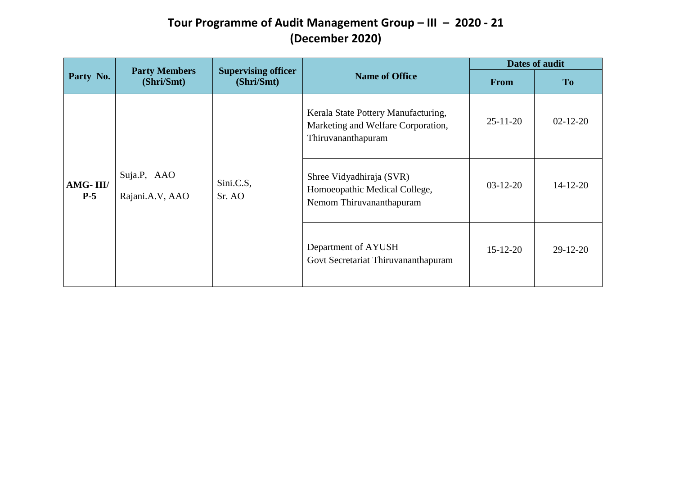| Party No.         |                                    |                                          | <b>Dates of audit</b>                                                                           |                |                |
|-------------------|------------------------------------|------------------------------------------|-------------------------------------------------------------------------------------------------|----------------|----------------|
|                   | <b>Party Members</b><br>(Shri/Smt) | <b>Supervising officer</b><br>(Shri/Smt) | <b>Name of Office</b>                                                                           | <b>From</b>    | T <sub>o</sub> |
| AMG-III/<br>$P-5$ |                                    |                                          | Kerala State Pottery Manufacturing,<br>Marketing and Welfare Corporation,<br>Thiruvananthapuram | $25 - 11 - 20$ | $02 - 12 - 20$ |
|                   | Suja.P, AAO<br>Rajani.A.V, AAO     | Sini.C.S,<br>Sr. AO                      | Shree Vidyadhiraja (SVR)<br>Homoeopathic Medical College,<br>Nemom Thiruvananthapuram           | $03-12-20$     | $14 - 12 - 20$ |
|                   |                                    |                                          | Department of AYUSH<br>Govt Secretariat Thiruvananthapuram                                      | $15 - 12 - 20$ | $29-12-20$     |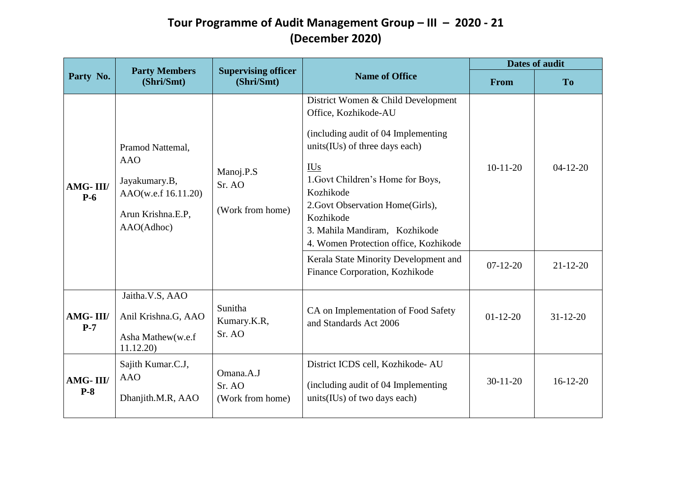|                   |                                                                                                           |                                          |                                                                                                                                                                                                                                                                                                                                                                         | <b>Dates of audit</b>    |                              |
|-------------------|-----------------------------------------------------------------------------------------------------------|------------------------------------------|-------------------------------------------------------------------------------------------------------------------------------------------------------------------------------------------------------------------------------------------------------------------------------------------------------------------------------------------------------------------------|--------------------------|------------------------------|
| Party No.         | <b>Party Members</b><br>(Shri/Smt)                                                                        | <b>Supervising officer</b><br>(Shri/Smt) | <b>Name of Office</b>                                                                                                                                                                                                                                                                                                                                                   | From                     | <b>To</b>                    |
| AMG-III/<br>$P-6$ | Pramod Nattemal,<br><b>AAO</b><br>Jayakumary.B,<br>AAO(w.e.f 16.11.20)<br>Arun Krishna.E.P,<br>AAO(Adhoc) | Manoj.P.S<br>Sr. AO<br>(Work from home)  | District Women & Child Development<br>Office, Kozhikode-AU<br>(including audit of 04 Implementing<br>units(IUs) of three days each)<br><b>IUs</b><br>1. Govt Children's Home for Boys,<br>Kozhikode<br>2. Govt Observation Home(Girls),<br>Kozhikode<br>3. Mahila Mandiram, Kozhikode<br>4. Women Protection office, Kozhikode<br>Kerala State Minority Development and | $10-11-20$<br>$07-12-20$ | $04-12-20$<br>$21 - 12 - 20$ |
|                   | Jaitha.V.S, AAO                                                                                           |                                          | Finance Corporation, Kozhikode                                                                                                                                                                                                                                                                                                                                          |                          |                              |
| AMG-III/<br>$P-7$ | Anil Krishna.G, AAO<br>Asha Mathew(w.e.f                                                                  | Sunitha<br>Kumary.K.R,<br>Sr. AO         | CA on Implementation of Food Safety<br>and Standards Act 2006                                                                                                                                                                                                                                                                                                           | $01 - 12 - 20$           | $31 - 12 - 20$               |
| AMG-III/<br>$P-8$ | 11.12.20)<br>Sajith Kumar.C.J,<br><b>AAO</b><br>Dhanjith.M.R, AAO                                         | Omana.A.J<br>Sr. AO<br>(Work from home)  | District ICDS cell, Kozhikode-AU<br>(including audit of 04 Implementing<br>units(IUs) of two days each)                                                                                                                                                                                                                                                                 | $30-11-20$               | $16-12-20$                   |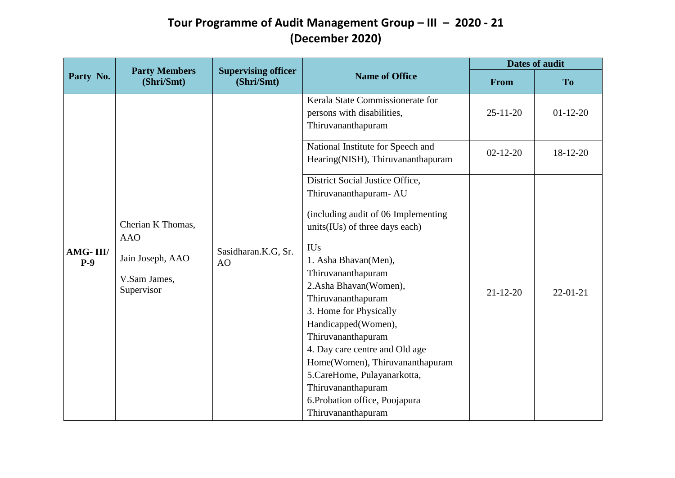|                   |                                                                                   |                                          |                                                                                                                                                                                                                                                                                                                                                                                                                                                                                                         | <b>Dates of audit</b>            |                        |
|-------------------|-----------------------------------------------------------------------------------|------------------------------------------|---------------------------------------------------------------------------------------------------------------------------------------------------------------------------------------------------------------------------------------------------------------------------------------------------------------------------------------------------------------------------------------------------------------------------------------------------------------------------------------------------------|----------------------------------|------------------------|
| Party No.         | <b>Party Members</b><br>(Shri/Smt)                                                | <b>Supervising officer</b><br>(Shri/Smt) | <b>Name of Office</b>                                                                                                                                                                                                                                                                                                                                                                                                                                                                                   | From                             | T <sub>o</sub>         |
|                   |                                                                                   |                                          | Kerala State Commissionerate for<br>persons with disabilities,<br>Thiruvananthapuram<br>National Institute for Speech and<br>Hearing(NISH), Thiruvananthapuram                                                                                                                                                                                                                                                                                                                                          | $25 - 11 - 20$<br>$02 - 12 - 20$ | $01-12-20$<br>18-12-20 |
| AMG-III/<br>$P-9$ | Cherian K Thomas,<br><b>AAO</b><br>Jain Joseph, AAO<br>V.Sam James,<br>Supervisor | Sasidharan.K.G, Sr.<br>AO                | District Social Justice Office,<br>Thiruvananthapuram- AU<br>(including audit of 06 Implementing<br>units(IUs) of three days each)<br><b>IUs</b><br>1. Asha Bhavan(Men),<br>Thiruvananthapuram<br>2.Asha Bhavan(Women),<br>Thiruvananthapuram<br>3. Home for Physically<br>Handicapped(Women),<br>Thiruvananthapuram<br>4. Day care centre and Old age<br>Home(Women), Thiruvananthapuram<br>5. CareHome, Pulayanarkotta,<br>Thiruvananthapuram<br>6. Probation office, Poojapura<br>Thiruvananthapuram | $21 - 12 - 20$                   | $22 - 01 - 21$         |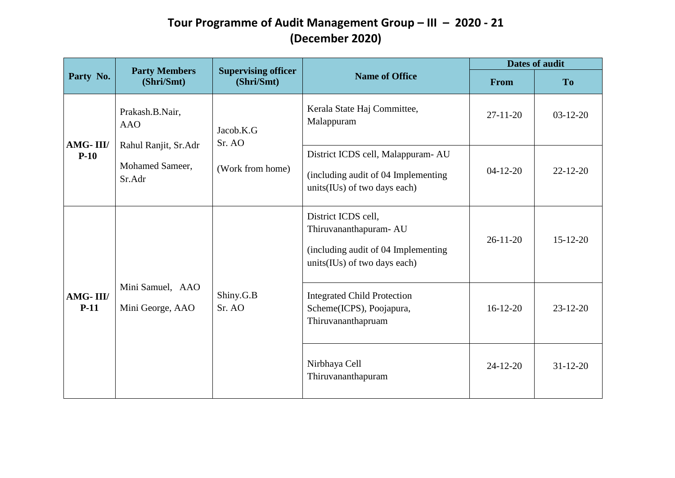| Party No.          |                                                   |                                          |                                                                                                                      | <b>Dates of audit</b>                                                                            |                |
|--------------------|---------------------------------------------------|------------------------------------------|----------------------------------------------------------------------------------------------------------------------|--------------------------------------------------------------------------------------------------|----------------|
|                    | <b>Party Members</b><br>(Shri/Smt)                | <b>Supervising officer</b><br>(Shri/Smt) | <b>Name of Office</b>                                                                                                | From                                                                                             | <b>To</b>      |
| AMG-III/<br>$P-10$ | Prakash.B.Nair,<br><b>AAO</b>                     | Jacob.K.G<br>Sr. AO                      | Kerala State Haj Committee,<br>Malappuram                                                                            | $27-11-20$                                                                                       | $03-12-20$     |
|                    | Rahul Ranjit, Sr.Adr<br>Mohamed Sameer,<br>Sr.Adr | (Work from home)                         | District ICDS cell, Malappuram-AU<br>(including audit of 04 Implementing<br>units(IUs) of two days each)             | $22 - 12 - 20$<br>$04-12-20$<br>$26-11-20$<br>$15 - 12 - 20$<br>$16 - 12 - 20$<br>$23 - 12 - 20$ |                |
| AMG-III/<br>$P-11$ |                                                   |                                          | District ICDS cell,<br>Thiruvananthapuram- AU<br>(including audit of 04 Implementing<br>units(IUs) of two days each) |                                                                                                  |                |
|                    | Mini Samuel, AAO<br>Mini George, AAO              | Shiny.G.B<br>Sr. AO                      | <b>Integrated Child Protection</b><br>Scheme(ICPS), Poojapura,<br>Thiruvananthapruam                                 |                                                                                                  |                |
|                    |                                                   |                                          | Nirbhaya Cell<br>Thiruvananthapuram                                                                                  | $24 - 12 - 20$                                                                                   | $31 - 12 - 20$ |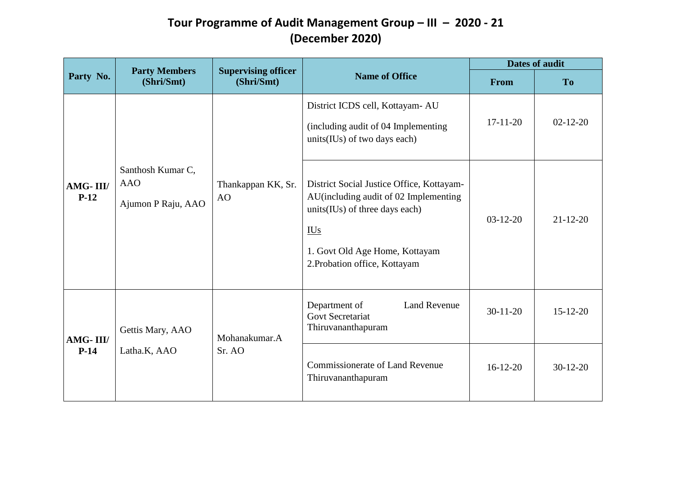| Party No.          |                                                       |                                          |                                                                                                                                                                                   | <b>Dates of audit</b>                                        |                |
|--------------------|-------------------------------------------------------|------------------------------------------|-----------------------------------------------------------------------------------------------------------------------------------------------------------------------------------|--------------------------------------------------------------|----------------|
|                    | <b>Party Members</b><br>(Shri/Smt)                    | <b>Supervising officer</b><br>(Shri/Smt) | <b>Name of Office</b><br>District ICDS cell, Kottayam- AU<br>(including audit of 04 Implementing<br>units(IUs) of two days each)<br>units(IUs) of three days each)                | From                                                         | To             |
| AMG-III/<br>$P-12$ |                                                       |                                          |                                                                                                                                                                                   | $17-11-20$                                                   | $02 - 12 - 20$ |
|                    | Santhosh Kumar C,<br><b>AAO</b><br>Ajumon P Raju, AAO | Thankappan KK, Sr.<br>AO                 | District Social Justice Office, Kottayam-<br>AU(including audit of 02 Implementing<br>$\underline{\text{IUs}}$<br>1. Govt Old Age Home, Kottayam<br>2. Probation office, Kottayam | $03-12-20$<br>$21 - 12 - 20$<br>$30-11-20$<br>$15 - 12 - 20$ |                |
| AMG-III/<br>$P-14$ | Gettis Mary, AAO                                      | Mohanakumar.A                            | <b>Land Revenue</b><br>Department of<br><b>Govt Secretariat</b><br>Thiruvananthapuram                                                                                             |                                                              |                |
|                    | Latha.K, AAO                                          | Sr. AO                                   | <b>Commissionerate of Land Revenue</b><br>Thiruvananthapuram                                                                                                                      | $16-12-20$                                                   | $30-12-20$     |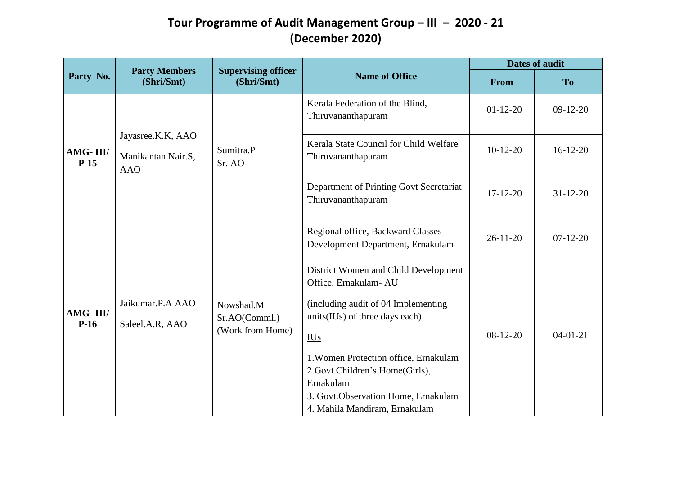| Party No.          |                                                       | <b>Supervising officer</b>                     |                                                                                                                                                                                                                                                                                                                                       | <b>Dates of audit</b> |                |
|--------------------|-------------------------------------------------------|------------------------------------------------|---------------------------------------------------------------------------------------------------------------------------------------------------------------------------------------------------------------------------------------------------------------------------------------------------------------------------------------|-----------------------|----------------|
|                    | <b>Party Members</b><br>(Shri/Smt)                    | (Shri/Smt)                                     | <b>Name of Office</b>                                                                                                                                                                                                                                                                                                                 | From                  | <b>To</b>      |
| AMG-III/<br>$P-15$ |                                                       |                                                | Kerala Federation of the Blind,<br>Thiruvananthapuram                                                                                                                                                                                                                                                                                 | $01-12-20$            | $09-12-20$     |
|                    | Jayasree.K.K, AAO<br>Manikantan Nair.S,<br><b>AAO</b> | Sumitra.P<br>Sr. AO                            | Kerala State Council for Child Welfare<br>Thiruvananthapuram                                                                                                                                                                                                                                                                          | $10-12-20$            | $16-12-20$     |
|                    |                                                       |                                                | Department of Printing Govt Secretariat<br>Thiruvananthapuram                                                                                                                                                                                                                                                                         | $17 - 12 - 20$        | $31 - 12 - 20$ |
|                    |                                                       |                                                | Regional office, Backward Classes<br>Development Department, Ernakulam                                                                                                                                                                                                                                                                | $26 - 11 - 20$        | $07-12-20$     |
| AMG-III/<br>$P-16$ | Jaikumar.P.A AAO<br>Saleel.A.R, AAO                   | Nowshad.M<br>Sr.AO(Comml.)<br>(Work from Home) | District Women and Child Development<br>Office, Ernakulam- AU<br>(including audit of 04 Implementing<br>units(IUs) of three days each)<br>$\underline{\text{IUs}}$<br>1. Women Protection office, Ernakulam<br>2. Govt. Children's Home(Girls),<br>Ernakulam<br>3. Govt. Observation Home, Ernakulam<br>4. Mahila Mandiram, Ernakulam | $08-12-20$            | $04 - 01 - 21$ |